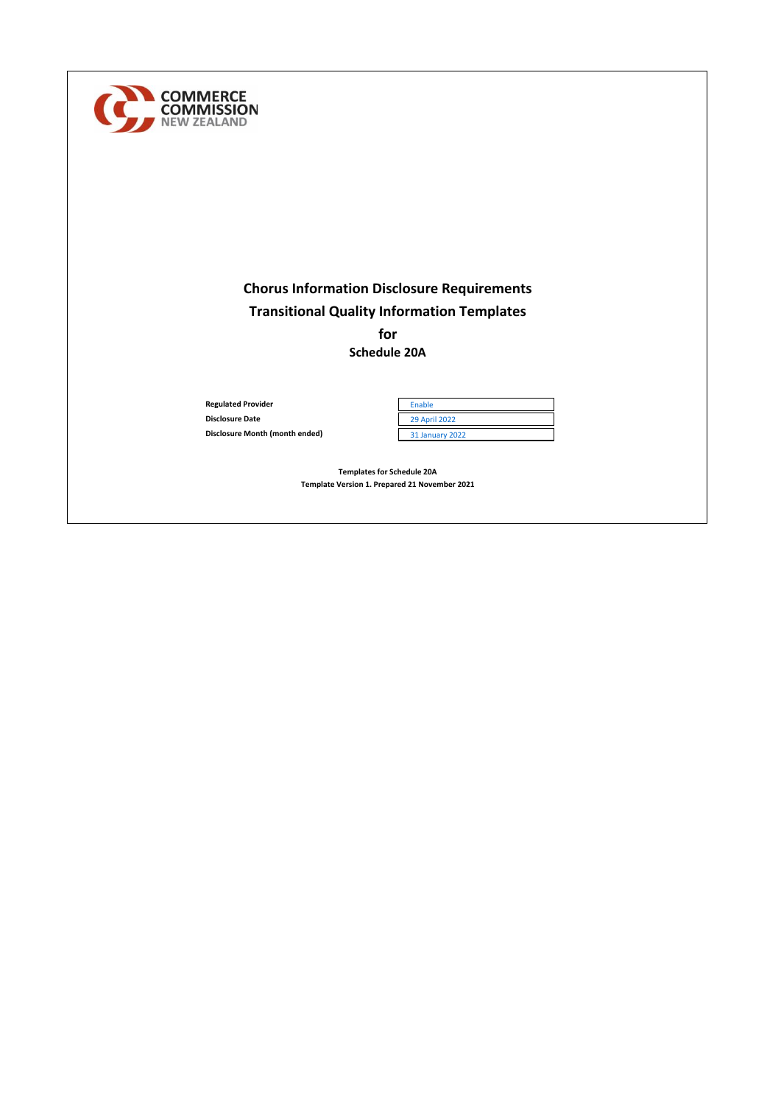

# **Chorus Information Disclosure Requirements Transitional Quality Information Templates for**

**Schedule 20A**

**Regulated Provider Disclosure Date Disclosure Month (month ended)** 

| Enable                 |  |
|------------------------|--|
| <b>29 April 2022</b>   |  |
| <b>31 January 2022</b> |  |

**Templates for Schedule 20A Template Version 1. Prepared 21 November 2021**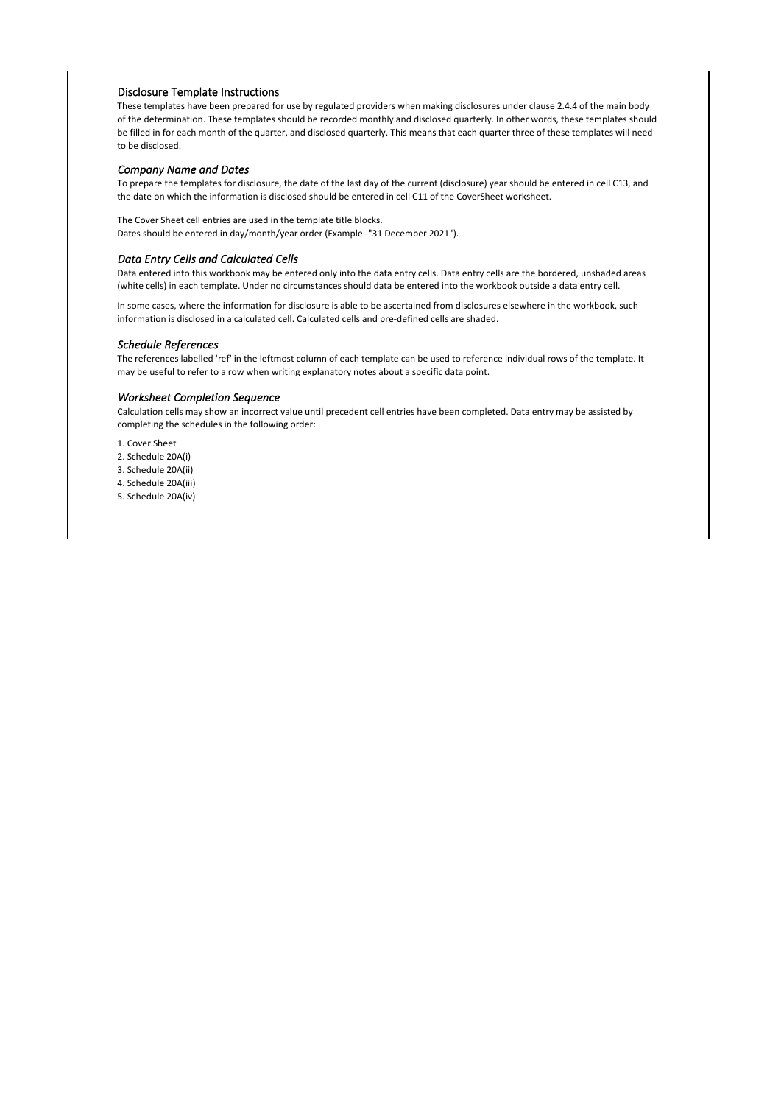# Disclosure Template Instructions

These templates have been prepared for use by regulated providers when making disclosures under clause 2.4.4 of the main body of the determination. These templates should be recorded monthly and disclosed quarterly. In other words, these templates should be filled in for each month of the quarter, and disclosed quarterly. This means that each quarter three of these templates will need to be disclosed.

#### *Company Name and Dates*

To prepare the templates for disclosure, the date of the last day of the current (disclosure) year should be entered in cell C13, and the date on which the information is disclosed should be entered in cell C11 of the CoverSheet worksheet.

The Cover Sheet cell entries are used in the template title blocks. Dates should be entered in day/month/year order (Example -"31 December 2021").

#### *Data Entry Cells and Calculated Cells*

Data entered into this workbook may be entered only into the data entry cells. Data entry cells are the bordered, unshaded areas (white cells) in each template. Under no circumstances should data be entered into the workbook outside a data entry cell.

In some cases, where the information for disclosure is able to be ascertained from disclosures elsewhere in the workbook, such information is disclosed in a calculated cell. Calculated cells and pre-defined cells are shaded.

#### *Schedule References*

The references labelled 'ref' in the leftmost column of each template can be used to reference individual rows of the template. It may be useful to refer to a row when writing explanatory notes about a specific data point.

### *Worksheet Completion Sequence*

Calculation cells may show an incorrect value until precedent cell entries have been completed. Data entry may be assisted by completing the schedules in the following order:

1. Cover Sheet

2. Schedule 20A(i)

3. Schedule 20A(ii)

4. Schedule 20A(iii)

5. Schedule 20A(iv)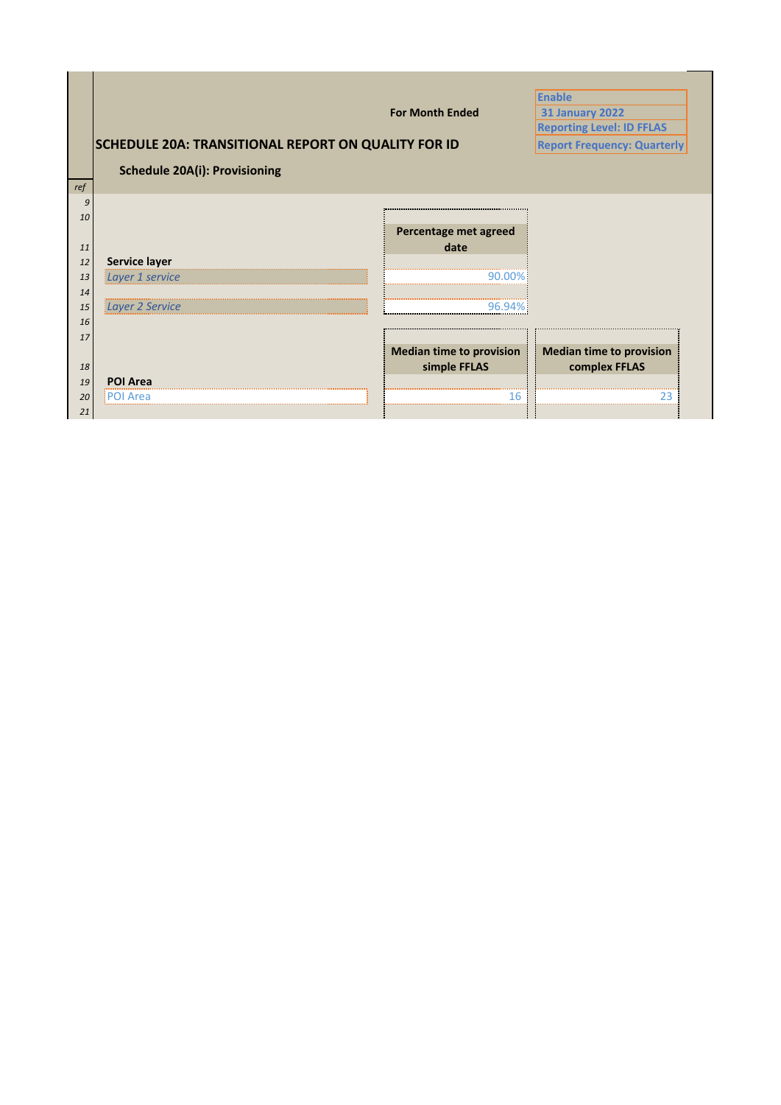|     |                                                            |                                 | <b>Enable</b>                      |
|-----|------------------------------------------------------------|---------------------------------|------------------------------------|
|     |                                                            | <b>For Month Ended</b>          | <b>31 January 2022</b>             |
|     |                                                            |                                 | <b>Reporting Level: ID FFLAS</b>   |
|     | <b>SCHEDULE 20A: TRANSITIONAL REPORT ON QUALITY FOR ID</b> |                                 | <b>Report Frequency: Quarterly</b> |
|     | <b>Schedule 20A(i): Provisioning</b>                       |                                 |                                    |
| ref |                                                            |                                 |                                    |
| q   |                                                            |                                 |                                    |
| 10  |                                                            | Percentage met agreed           |                                    |
| 11  |                                                            | date                            |                                    |
| 12  | <b>Service layer</b>                                       |                                 |                                    |
| 13  | Layer 1 service                                            |                                 |                                    |
| 14  |                                                            |                                 |                                    |
| 15  | Layer 2 Service                                            |                                 |                                    |
| 16  |                                                            |                                 |                                    |
| 17  |                                                            |                                 |                                    |
|     |                                                            | <b>Median time to provision</b> | Median time to provision           |
| 18  |                                                            | simple FFLAS                    | complex FFLAS                      |
| 19  | <b>POI Area</b>                                            |                                 |                                    |
| 20  | Area                                                       | 6                               |                                    |
| 21  |                                                            |                                 |                                    |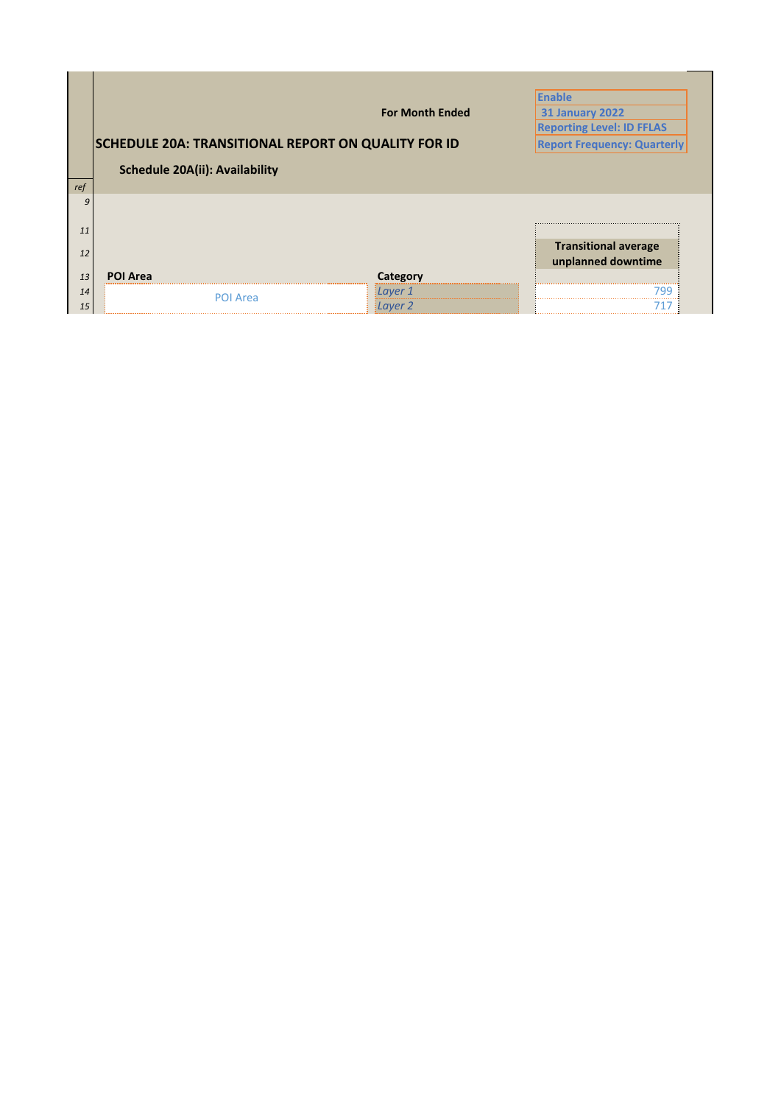|     |                                                            |                        | <b>Enable</b>                      |
|-----|------------------------------------------------------------|------------------------|------------------------------------|
|     |                                                            | <b>For Month Ended</b> | <b>31 January 2022</b>             |
|     |                                                            |                        | <b>Reporting Level: ID FFLAS</b>   |
|     | <b>SCHEDULE 20A: TRANSITIONAL REPORT ON QUALITY FOR ID</b> |                        | <b>Report Frequency: Quarterly</b> |
|     | <b>Schedule 20A(ii): Availability</b>                      |                        |                                    |
| ref |                                                            |                        |                                    |
|     |                                                            |                        |                                    |
|     |                                                            |                        |                                    |
| 11  |                                                            |                        |                                    |
| 12  |                                                            |                        | <b>Transitional average</b>        |
|     |                                                            |                        | unplanned downtime                 |
|     |                                                            |                        |                                    |
| 13  | POI Area                                                   | Category               |                                    |
| 14  | POI Area                                                   | Layer 1                |                                    |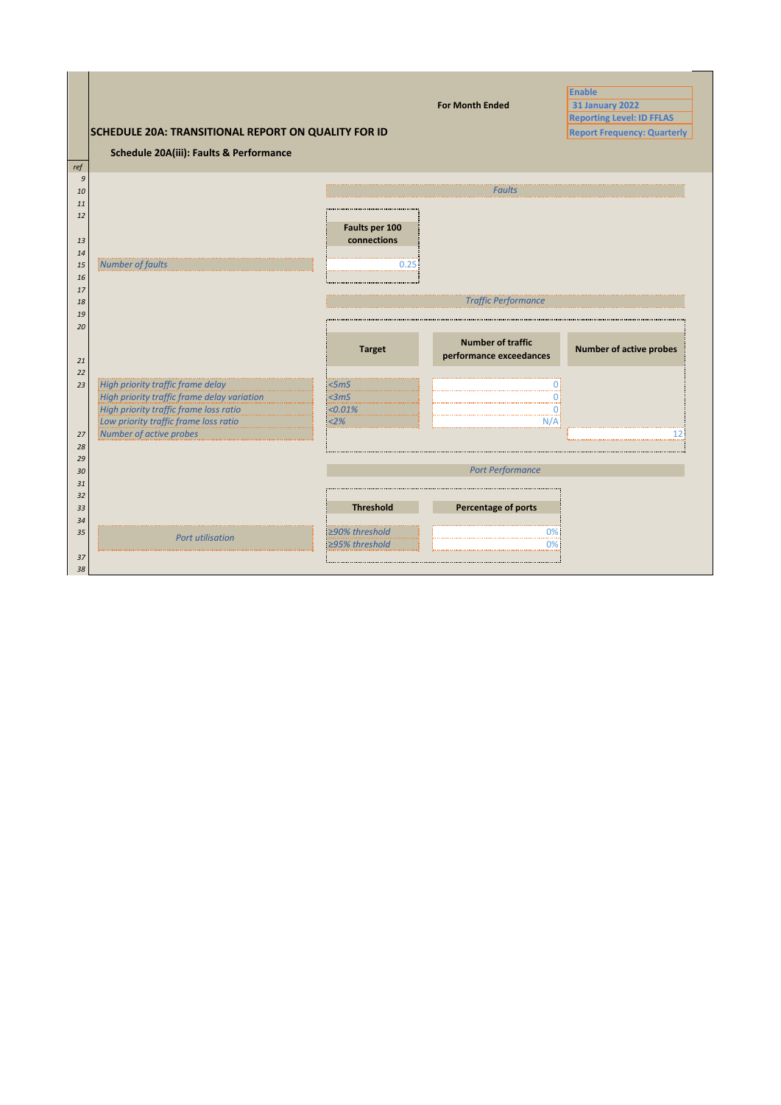|                  |                                                                  |                  |                            | <b>Enable</b>                      |
|------------------|------------------------------------------------------------------|------------------|----------------------------|------------------------------------|
|                  |                                                                  |                  | <b>For Month Ended</b>     | <b>31 January 2022</b>             |
|                  |                                                                  |                  |                            | <b>Reporting Level: ID FFLAS</b>   |
|                  | <b>SCHEDULE 20A: TRANSITIONAL REPORT ON QUALITY FOR ID</b>       |                  |                            | <b>Report Frequency: Quarterly</b> |
|                  | Schedule 20A(iii): Faults & Performance                          |                  |                            |                                    |
| ref              |                                                                  |                  |                            |                                    |
| $\boldsymbol{g}$ |                                                                  |                  |                            |                                    |
| 10               |                                                                  |                  | <b>Faults</b>              |                                    |
| 11               |                                                                  |                  |                            |                                    |
| 12               |                                                                  | Faults per 100   |                            |                                    |
| 13               |                                                                  | connections      |                            |                                    |
| 14               |                                                                  |                  |                            |                                    |
| 15               | Number of faults                                                 | 0.25             |                            |                                    |
| 16               |                                                                  |                  |                            |                                    |
| 17               |                                                                  |                  |                            |                                    |
| 18               |                                                                  |                  | <b>Traffic Performance</b> |                                    |
| 19               |                                                                  |                  |                            |                                    |
|                  |                                                                  |                  |                            |                                    |
| 20               |                                                                  |                  |                            |                                    |
|                  |                                                                  |                  | <b>Number of traffic</b>   |                                    |
|                  |                                                                  | <b>Target</b>    |                            | <b>Number of active probes</b>     |
| 21               |                                                                  |                  | performance exceedances    |                                    |
| 22               |                                                                  |                  |                            |                                    |
| 23               | High priority traffic frame delay                                | <5 <sub>m</sub>  | Ω                          |                                    |
|                  | High priority traffic frame delay variation                      | <3mS             | O:<br>01                   |                                    |
|                  | High priority traffic frame loss ratio                           | < 0.01%          | N/A                        |                                    |
| 27               | Low priority traffic frame loss ratio<br>Number of active probes | 2%               |                            | 12:                                |
| 28               |                                                                  |                  |                            |                                    |
| 29               |                                                                  |                  |                            |                                    |
| 30               |                                                                  |                  | <b>Port Performance</b>    |                                    |
| 31               |                                                                  |                  |                            |                                    |
| 32               |                                                                  |                  |                            |                                    |
| 33               |                                                                  | <b>Threshold</b> | Percentage of ports        |                                    |
| 34               |                                                                  |                  |                            |                                    |
| 35               | <b>Port utilisation</b>                                          | ≥90% threshold   | 0%                         |                                    |
|                  |                                                                  | ≥95% threshold   | $0\%$                      |                                    |
| 37<br>38         |                                                                  |                  |                            |                                    |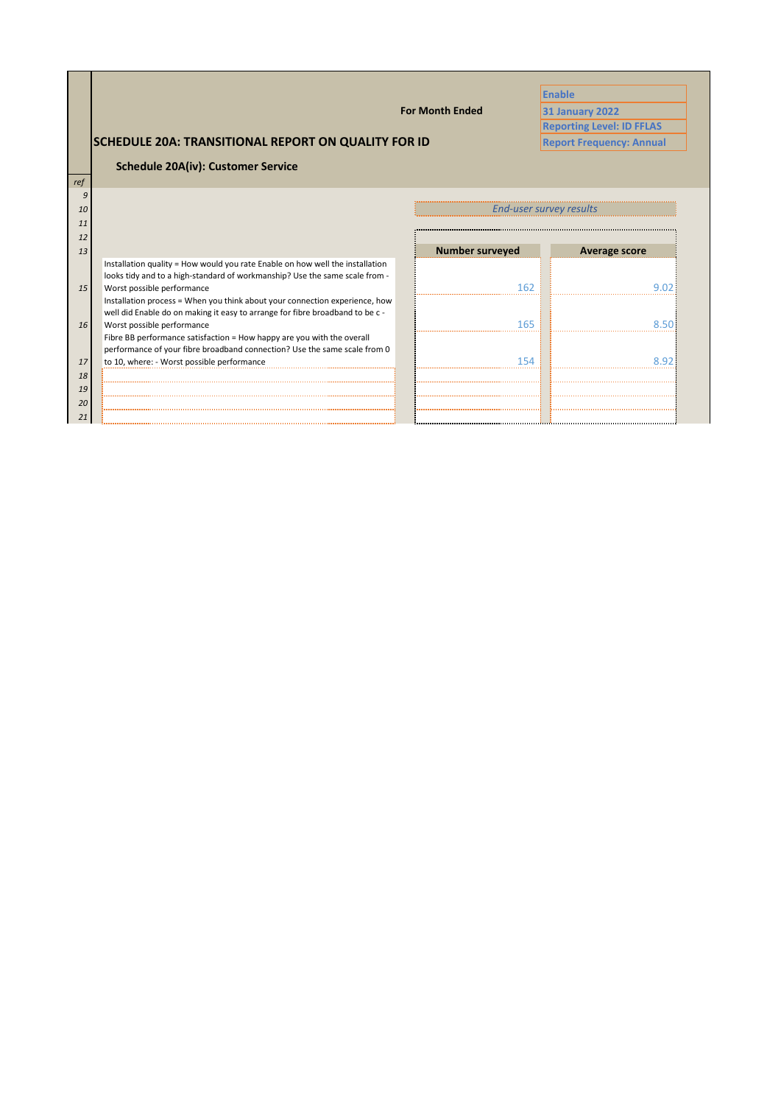|          |                                                                               |                         | <b>Enable</b>                    |
|----------|-------------------------------------------------------------------------------|-------------------------|----------------------------------|
|          |                                                                               | <b>For Month Ended</b>  | <b>31 January 2022</b>           |
|          |                                                                               |                         | <b>Reporting Level: ID FFLAS</b> |
|          | <b>SCHEDULE 20A: TRANSITIONAL REPORT ON QUALITY FOR ID</b>                    |                         | <b>Report Frequency: Annual</b>  |
|          | <b>Schedule 20A(iv): Customer Service</b>                                     |                         |                                  |
| ref      |                                                                               |                         |                                  |
| 9        |                                                                               |                         |                                  |
| 10       |                                                                               | End-user survey results |                                  |
| 11       |                                                                               |                         |                                  |
| 12       |                                                                               |                         |                                  |
| 13       |                                                                               | <b>Number surveyed</b>  | Average score                    |
|          | Installation quality = How would you rate Enable on how well the installation |                         |                                  |
|          | looks tidy and to a high-standard of workmanship? Use the same scale from -   |                         |                                  |
| 15       | Worst possible performance                                                    | 162                     |                                  |
|          | Installation process = When you think about your connection experience, how   |                         |                                  |
|          | well did Enable do on making it easy to arrange for fibre broadband to be c - |                         |                                  |
| 16       | Worst possible performance                                                    | 165                     |                                  |
|          |                                                                               |                         |                                  |
|          | Fibre BB performance satisfaction = How happy are you with the overall        |                         |                                  |
|          | performance of your fibre broadband connection? Use the same scale from 0     |                         |                                  |
| 17       | to 10, where: - Worst possible performance                                    |                         |                                  |
| 18       |                                                                               |                         |                                  |
| 19       |                                                                               |                         |                                  |
| 20<br>21 |                                                                               |                         |                                  |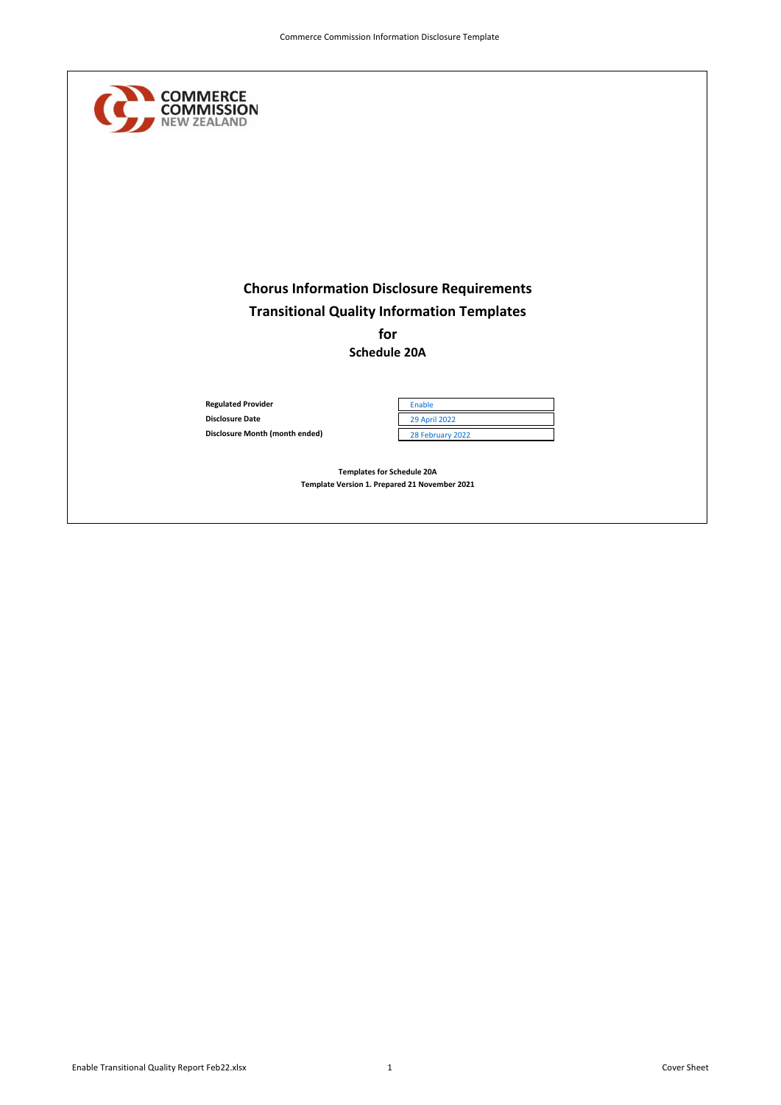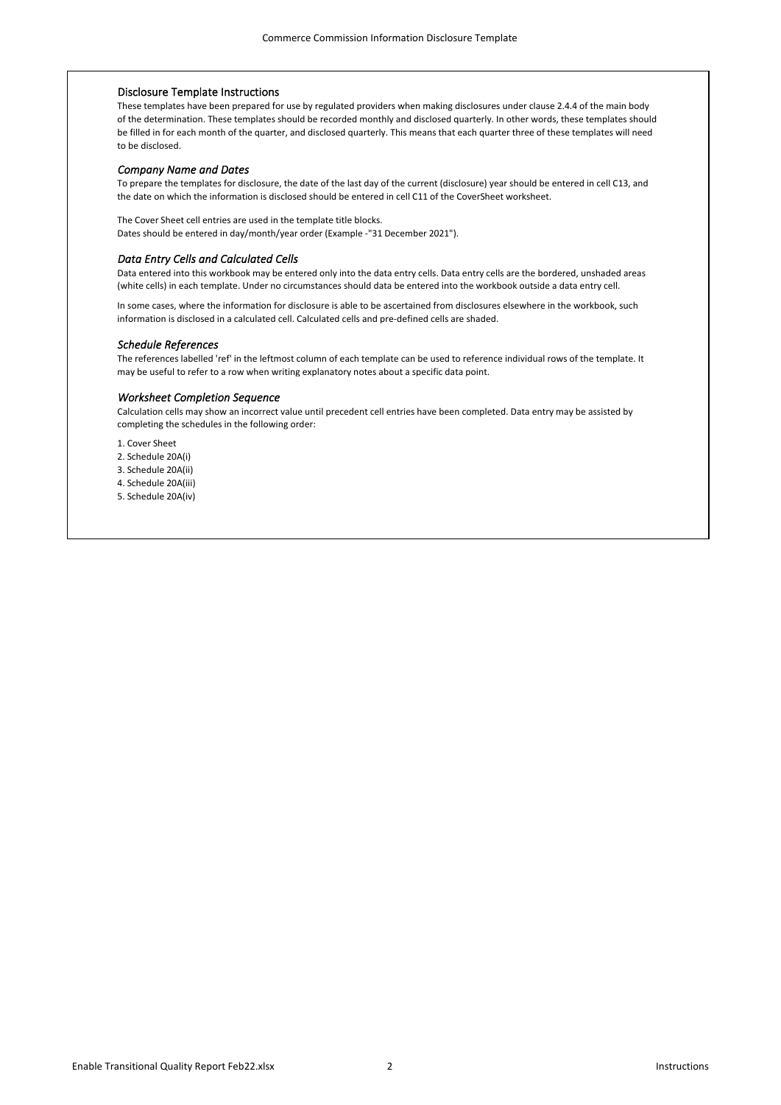# Disclosure Template Instructions

These templates have been prepared for use by regulated providers when making disclosures under clause 2.4.4 of the main body of the determination. These templates should be recorded monthly and disclosed quarterly. In other words, these templates should be filled in for each month of the quarter, and disclosed quarterly. This means that each quarter three of these templates will need to be disclosed.

#### *Company Name and Dates*

To prepare the templates for disclosure, the date of the last day of the current (disclosure) year should be entered in cell C13, and the date on which the information is disclosed should be entered in cell C11 of the CoverSheet worksheet.

The Cover Sheet cell entries are used in the template title blocks. Dates should be entered in day/month/year order (Example -"31 December 2021").

# *Data Entry Cells and Calculated Cells*

Data entered into this workbook may be entered only into the data entry cells. Data entry cells are the bordered, unshaded areas (white cells) in each template. Under no circumstances should data be entered into the workbook outside a data entry cell.

In some cases, where the information for disclosure is able to be ascertained from disclosures elsewhere in the workbook, such information is disclosed in a calculated cell. Calculated cells and pre-defined cells are shaded.

#### *Schedule References*

The references labelled 'ref' in the leftmost column of each template can be used to reference individual rows of the template. It may be useful to refer to a row when writing explanatory notes about a specific data point.

# *Worksheet Completion Sequence*

Calculation cells may show an incorrect value until precedent cell entries have been completed. Data entry may be assisted by completing the schedules in the following order:

1. Cover Sheet

2. Schedule 20A(i)

3. Schedule 20A(ii)

4. Schedule 20A(iii)

5. Schedule 20A(iv)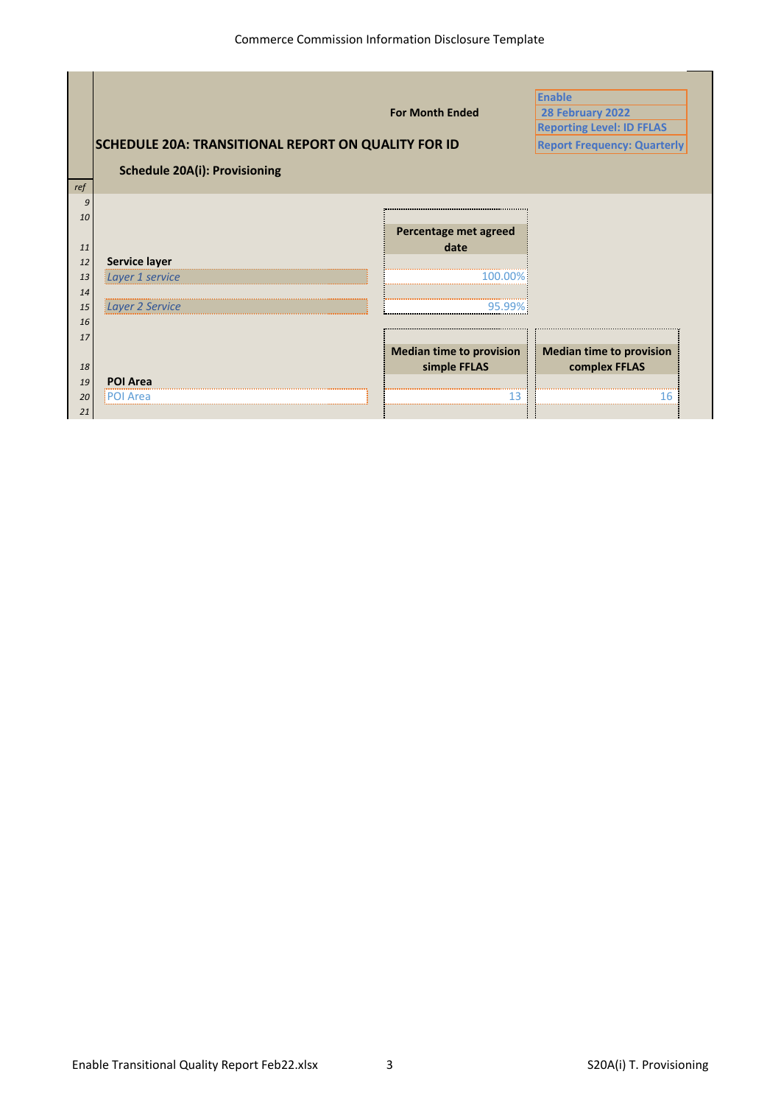|     |                                                            |                                 | <b>Enable</b>                      |
|-----|------------------------------------------------------------|---------------------------------|------------------------------------|
|     |                                                            | <b>For Month Ended</b>          | 28 February 2022                   |
|     |                                                            |                                 | <b>Reporting Level: ID FFLAS</b>   |
|     | <b>SCHEDULE 20A: TRANSITIONAL REPORT ON QUALITY FOR ID</b> |                                 | <b>Report Frequency: Quarterly</b> |
|     | <b>Schedule 20A(i): Provisioning</b>                       |                                 |                                    |
| ref |                                                            |                                 |                                    |
| 9   |                                                            |                                 |                                    |
| 10  |                                                            |                                 |                                    |
|     |                                                            | Percentage met agreed           |                                    |
| 11  |                                                            | date                            |                                    |
| 12  | Service layer                                              |                                 |                                    |
| 13  | Layer 1 service                                            |                                 |                                    |
| 14  |                                                            |                                 |                                    |
| 15  | Layer 2 Service                                            |                                 |                                    |
| 16  |                                                            |                                 |                                    |
| 17  |                                                            |                                 |                                    |
|     |                                                            | <b>Median time to provision</b> | <b>Median time to provision</b>    |
| 18  |                                                            | simple FFLAS                    | complex FFLAS                      |
| 19  | <b>POI Area</b>                                            |                                 |                                    |
| 20  | Area                                                       |                                 |                                    |
| 21  |                                                            |                                 |                                    |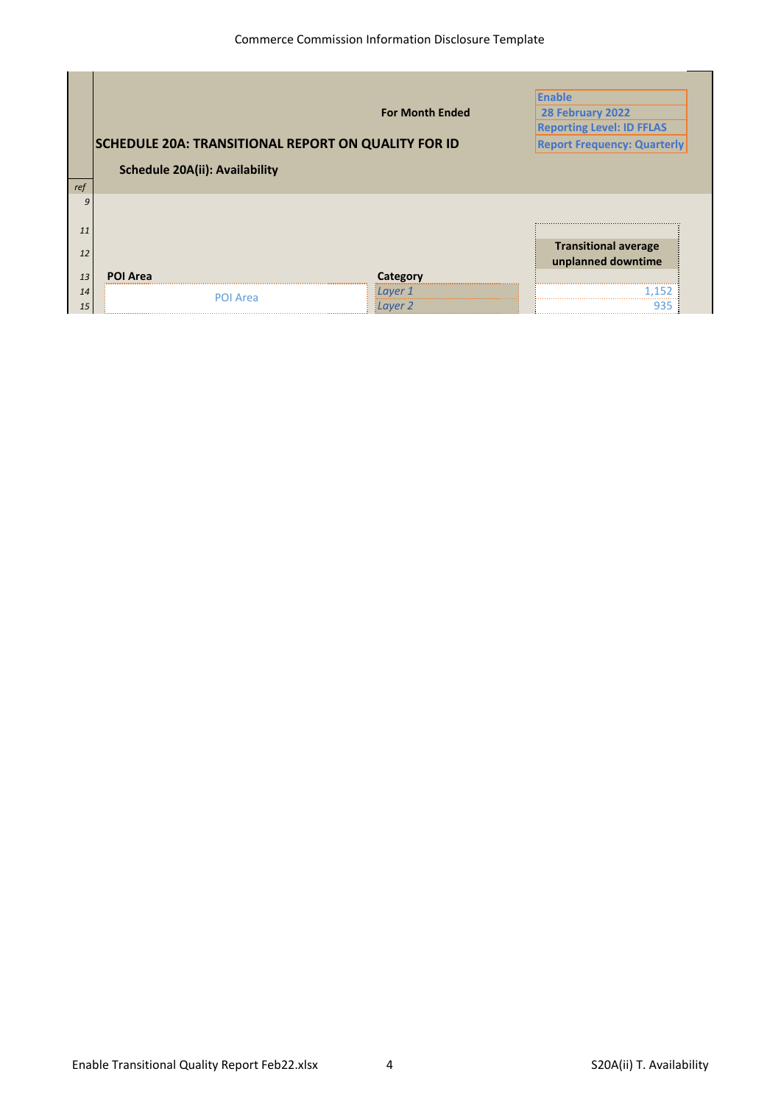|           |                                                            |                        | <b>Enable</b>                      |
|-----------|------------------------------------------------------------|------------------------|------------------------------------|
|           |                                                            | <b>For Month Ended</b> | 28 February 2022                   |
|           |                                                            |                        | <b>Reporting Level: ID FFLAS</b>   |
|           | <b>SCHEDULE 20A: TRANSITIONAL REPORT ON QUALITY FOR ID</b> |                        | <b>Report Frequency: Quarterly</b> |
|           | <b>Schedule 20A(ii): Availability</b>                      |                        |                                    |
|           |                                                            |                        |                                    |
| 9         |                                                            |                        |                                    |
| 11        |                                                            |                        |                                    |
|           |                                                            |                        | <b>Transitional average</b>        |
| 12        |                                                            |                        | unplanned downtime                 |
| 13        | <b>POI Area</b>                                            | Category               |                                    |
| ref<br>14 | POI Area                                                   | <u> Layer 1</u>        |                                    |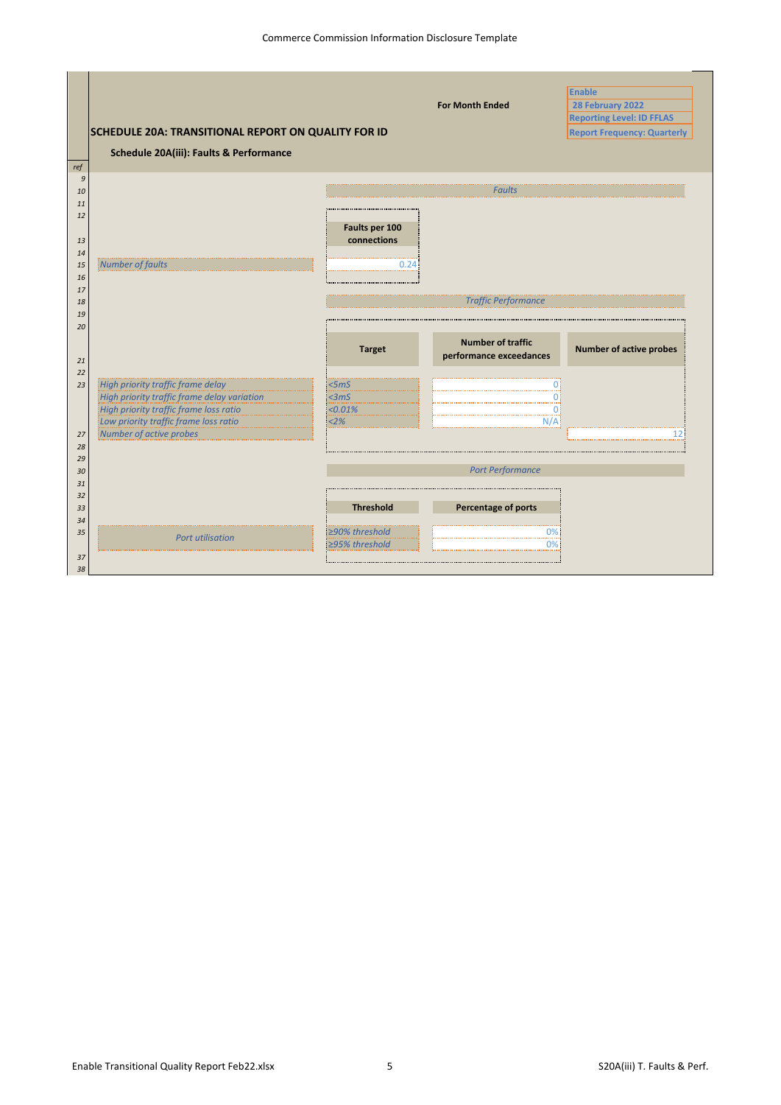|          |                                                     |                  |                                                     | <b>Enable</b>                      |
|----------|-----------------------------------------------------|------------------|-----------------------------------------------------|------------------------------------|
|          |                                                     |                  | <b>For Month Ended</b>                              | 28 February 2022                   |
|          |                                                     |                  |                                                     | <b>Reporting Level: ID FFLAS</b>   |
|          | SCHEDULE 20A: TRANSITIONAL REPORT ON QUALITY FOR ID |                  |                                                     | <b>Report Frequency: Quarterly</b> |
|          | Schedule 20A(iii): Faults & Performance             |                  |                                                     |                                    |
| ref      |                                                     |                  |                                                     |                                    |
| 9        |                                                     |                  |                                                     |                                    |
| 10       |                                                     |                  | <b>Faults</b>                                       |                                    |
| 11       |                                                     |                  |                                                     |                                    |
| 12       |                                                     | Faults per 100   |                                                     |                                    |
| 13       |                                                     | connections      |                                                     |                                    |
| 14       |                                                     |                  |                                                     |                                    |
| 15       | Number of faults                                    | 0.24             |                                                     |                                    |
| 16       |                                                     |                  |                                                     |                                    |
| 17       |                                                     |                  |                                                     |                                    |
| 18       |                                                     |                  | <b>Traffic Performance</b>                          |                                    |
| 19       |                                                     |                  |                                                     |                                    |
| 20       |                                                     | <b>Target</b>    | <b>Number of traffic</b><br>performance exceedances | <b>Number of active probes</b>     |
| 21<br>22 |                                                     |                  |                                                     |                                    |
| 23       | High priority traffic frame delay                   | <5 <sub>m</sub>  |                                                     |                                    |
|          | High priority traffic frame delay variation         | <3mS             |                                                     |                                    |
|          | High priority traffic frame loss ratio              | < 0.01%          | 01                                                  |                                    |
|          | Low priority traffic frame loss ratio               | 2%               | N/A                                                 |                                    |
| 27       | Number of active probes                             |                  |                                                     | 12.                                |
| 28       |                                                     |                  |                                                     |                                    |
| 29<br>30 |                                                     |                  | <b>Port Performance</b>                             |                                    |
| 31       |                                                     |                  |                                                     |                                    |
| 32       |                                                     |                  |                                                     |                                    |
| 33       |                                                     | <b>Threshold</b> | Percentage of ports                                 |                                    |
| 34       |                                                     |                  |                                                     |                                    |
| 35       | <b>Port utilisation</b>                             | ≥90% threshold   | 0%                                                  |                                    |
|          |                                                     | ≥95% threshold   | 0%                                                  |                                    |
| 37       |                                                     |                  |                                                     |                                    |
| 38       |                                                     |                  |                                                     |                                    |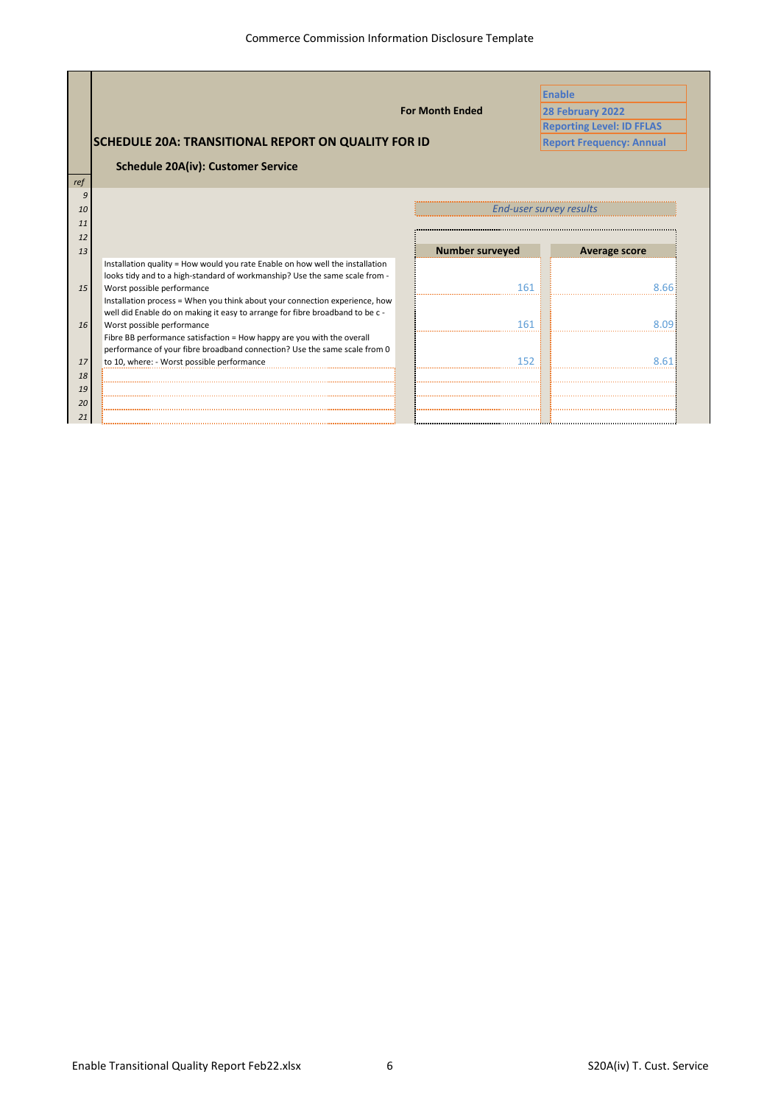|     |                                                                                                                                                              |                        | <b>Enable</b>                    |
|-----|--------------------------------------------------------------------------------------------------------------------------------------------------------------|------------------------|----------------------------------|
|     |                                                                                                                                                              | <b>For Month Ended</b> | 28 February 2022                 |
|     |                                                                                                                                                              |                        | <b>Reporting Level: ID FFLAS</b> |
|     | <b>SCHEDULE 20A: TRANSITIONAL REPORT ON QUALITY FOR ID</b>                                                                                                   |                        | <b>Report Frequency: Annual</b>  |
|     |                                                                                                                                                              |                        |                                  |
|     | <b>Schedule 20A(iv): Customer Service</b>                                                                                                                    |                        |                                  |
| ref |                                                                                                                                                              |                        |                                  |
|     |                                                                                                                                                              |                        |                                  |
| 10  |                                                                                                                                                              |                        | <b>End-user survey results</b>   |
| 11  |                                                                                                                                                              |                        |                                  |
| 12  |                                                                                                                                                              |                        |                                  |
| 13  |                                                                                                                                                              | <b>Number surveyed</b> | Average score                    |
|     | Installation quality = How would you rate Enable on how well the installation<br>looks tidy and to a high-standard of workmanship? Use the same scale from - |                        |                                  |
| 15  | Worst possible performance                                                                                                                                   | 161                    |                                  |
|     | Installation process = When you think about your connection experience, how                                                                                  |                        |                                  |
|     | well did Enable do on making it easy to arrange for fibre broadband to be c -                                                                                |                        |                                  |
| 16  | Worst possible performance                                                                                                                                   | 161                    |                                  |
|     | Fibre BB performance satisfaction = How happy are you with the overall                                                                                       |                        |                                  |
|     | performance of your fibre broadband connection? Use the same scale from 0                                                                                    |                        |                                  |
| 17  | to 10, where: - Worst possible performance                                                                                                                   | 152                    |                                  |
| 18  |                                                                                                                                                              |                        |                                  |
| 19  |                                                                                                                                                              |                        |                                  |
| 20  |                                                                                                                                                              |                        |                                  |
| 21  |                                                                                                                                                              |                        |                                  |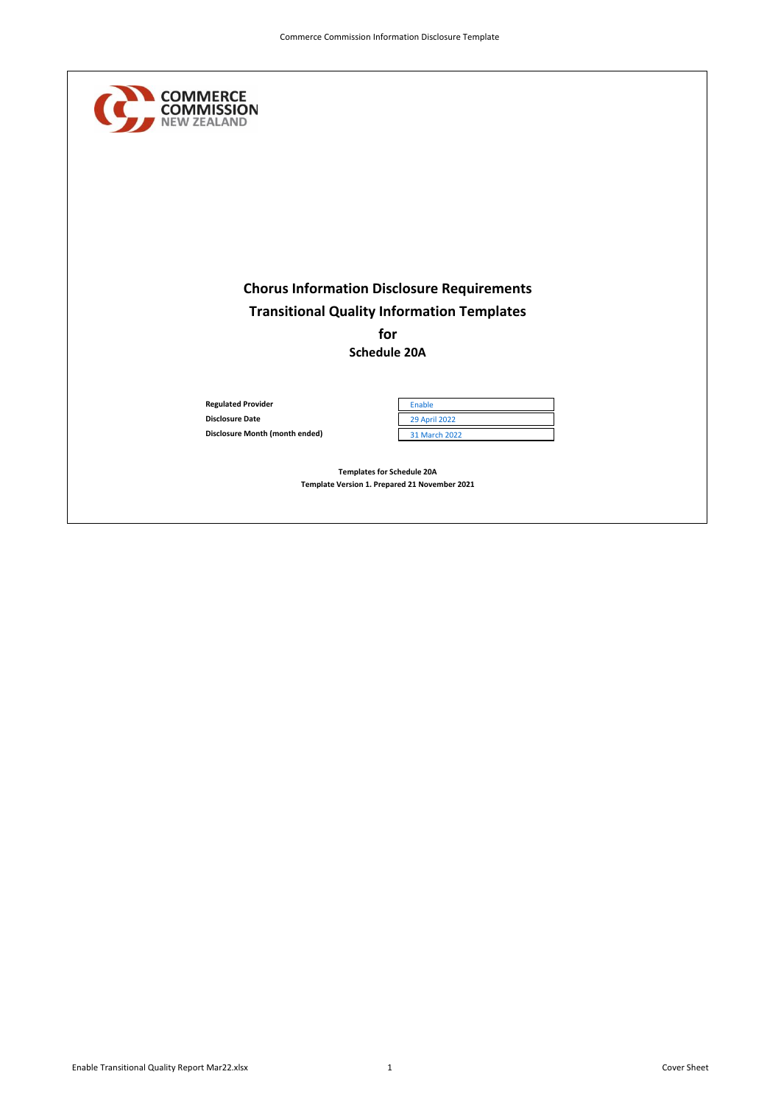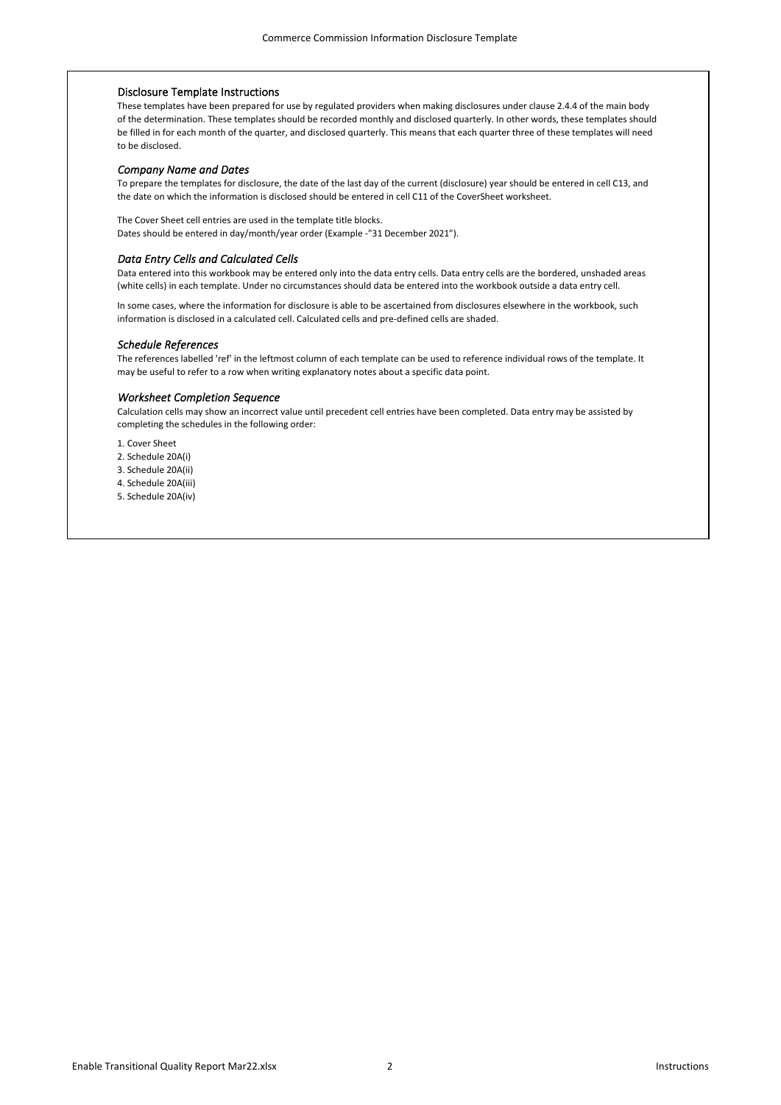# Disclosure Template Instructions

These templates have been prepared for use by regulated providers when making disclosures under clause 2.4.4 of the main body of the determination. These templates should be recorded monthly and disclosed quarterly. In other words, these templates should be filled in for each month of the quarter, and disclosed quarterly. This means that each quarter three of these templates will need to be disclosed.

#### *Company Name and Dates*

To prepare the templates for disclosure, the date of the last day of the current (disclosure) year should be entered in cell C13, and the date on which the information is disclosed should be entered in cell C11 of the CoverSheet worksheet.

The Cover Sheet cell entries are used in the template title blocks. Dates should be entered in day/month/year order (Example -"31 December 2021").

# *Data Entry Cells and Calculated Cells*

Data entered into this workbook may be entered only into the data entry cells. Data entry cells are the bordered, unshaded areas (white cells) in each template. Under no circumstances should data be entered into the workbook outside a data entry cell.

In some cases, where the information for disclosure is able to be ascertained from disclosures elsewhere in the workbook, such information is disclosed in a calculated cell. Calculated cells and pre-defined cells are shaded.

#### *Schedule References*

The references labelled 'ref' in the leftmost column of each template can be used to reference individual rows of the template. It may be useful to refer to a row when writing explanatory notes about a specific data point.

# *Worksheet Completion Sequence*

Calculation cells may show an incorrect value until precedent cell entries have been completed. Data entry may be assisted by completing the schedules in the following order:

1. Cover Sheet

2. Schedule 20A(i)

3. Schedule 20A(ii)

4. Schedule 20A(iii)

5. Schedule 20A(iv)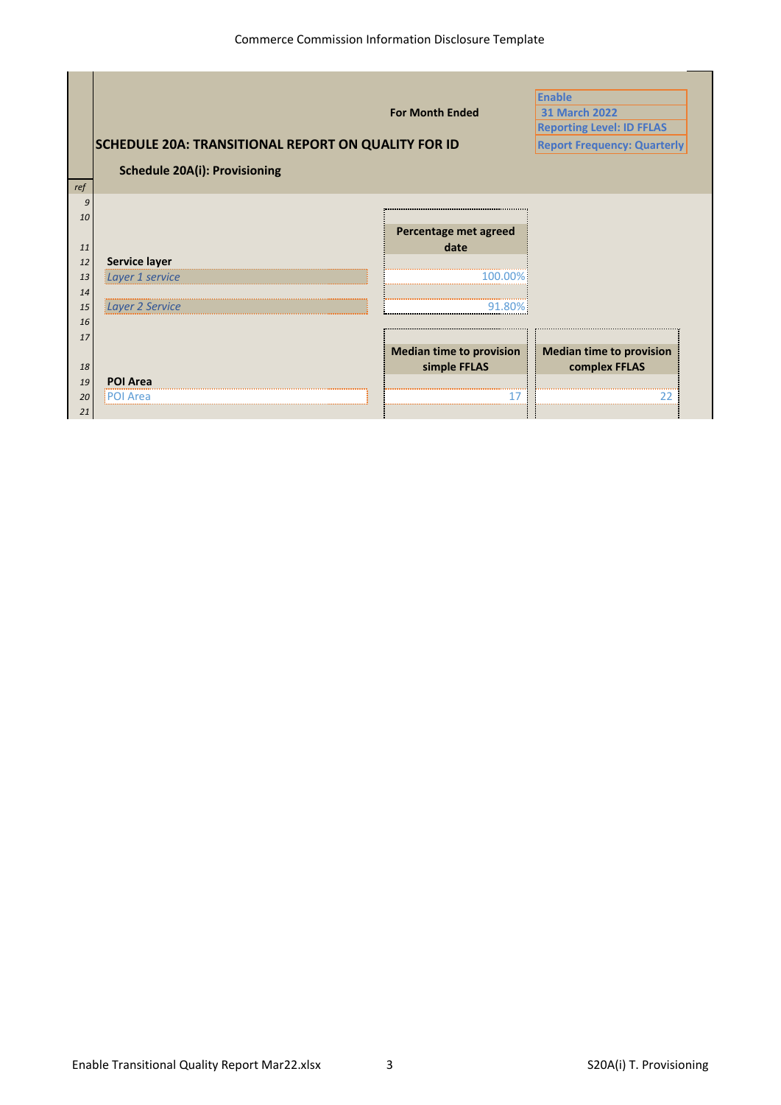|     |                                                            |                                      | <b>Enable</b>                      |
|-----|------------------------------------------------------------|--------------------------------------|------------------------------------|
|     |                                                            | <b>For Month Ended</b>               | <b>31 March 2022</b>               |
|     |                                                            |                                      | <b>Reporting Level: ID FFLAS</b>   |
|     | <b>SCHEDULE 20A: TRANSITIONAL REPORT ON QUALITY FOR ID</b> |                                      | <b>Report Frequency: Quarterly</b> |
|     | <b>Schedule 20A(i): Provisioning</b>                       |                                      |                                    |
| ref |                                                            |                                      |                                    |
| 9   |                                                            |                                      |                                    |
| 10  |                                                            |                                      |                                    |
|     |                                                            | Percentage met agreed                |                                    |
| 11  |                                                            | date                                 |                                    |
| 12  | Service layer                                              |                                      |                                    |
| 13  | Layer 1 service                                            |                                      |                                    |
| 14  |                                                            |                                      |                                    |
| 15  | Layer 2 Service                                            |                                      |                                    |
| 16  |                                                            |                                      |                                    |
| 17  |                                                            |                                      |                                    |
|     |                                                            | <b>Median time to provision</b>      | <b>Median time to provision</b>    |
| 18  |                                                            | simple FFLAS                         | complex FFLAS                      |
| 19  | <b>POI Area</b>                                            |                                      |                                    |
| 20  | Area                                                       | ------------------------------------ |                                    |
| 21  |                                                            |                                      |                                    |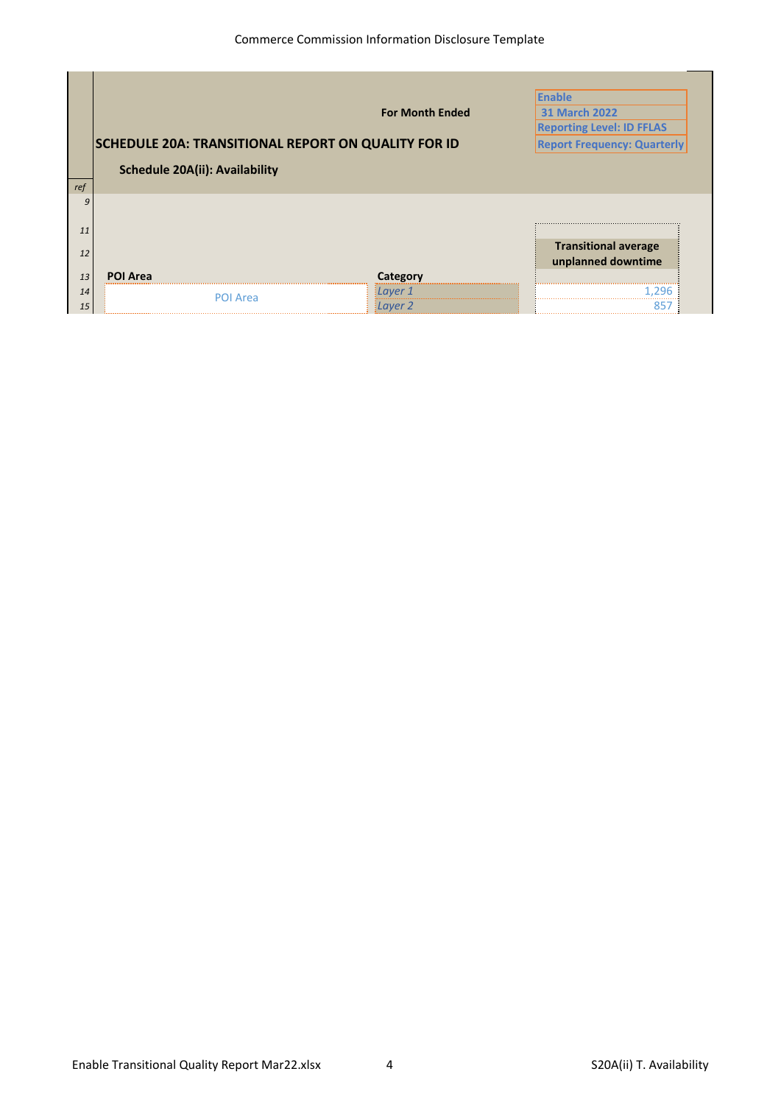|                       |                                       | <b>For Month Ended</b>                                     | <b>Enable</b><br><b>31 March 2022</b> |
|-----------------------|---------------------------------------|------------------------------------------------------------|---------------------------------------|
|                       |                                       |                                                            | <b>Reporting Level: ID FFLAS</b>      |
|                       |                                       | <b>SCHEDULE 20A: TRANSITIONAL REPORT ON QUALITY FOR ID</b> | <b>Report Frequency: Quarterly</b>    |
|                       | <b>Schedule 20A(ii): Availability</b> |                                                            |                                       |
| ref                   |                                       |                                                            |                                       |
| 9                     |                                       |                                                            |                                       |
| 11                    |                                       |                                                            |                                       |
|                       |                                       |                                                            | <b>Transitional average</b>           |
| 12<br><b>POI Area</b> |                                       | Category                                                   | unplanned downtime                    |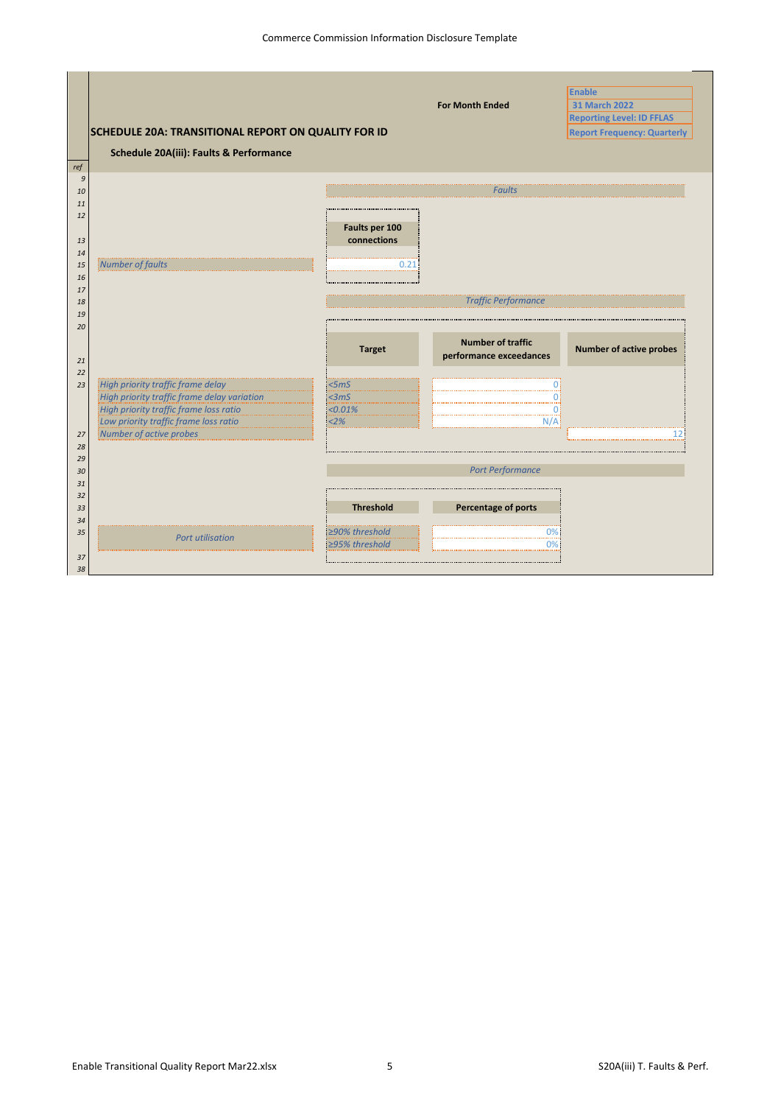|          |                                                     |                  |                                                     | <b>Enable</b>                      |
|----------|-----------------------------------------------------|------------------|-----------------------------------------------------|------------------------------------|
|          |                                                     |                  | <b>For Month Ended</b>                              | <b>31 March 2022</b>               |
|          |                                                     |                  |                                                     | <b>Reporting Level: ID FFLAS</b>   |
|          | SCHEDULE 20A: TRANSITIONAL REPORT ON QUALITY FOR ID |                  |                                                     | <b>Report Frequency: Quarterly</b> |
|          | Schedule 20A(iii): Faults & Performance             |                  |                                                     |                                    |
| ref      |                                                     |                  |                                                     |                                    |
| 9        |                                                     |                  |                                                     |                                    |
| 10       |                                                     |                  | <b>Faults</b>                                       |                                    |
| 11       |                                                     |                  |                                                     |                                    |
| 12       |                                                     |                  |                                                     |                                    |
|          |                                                     | Faults per 100   |                                                     |                                    |
| 13       |                                                     | connections      |                                                     |                                    |
| 14       |                                                     |                  |                                                     |                                    |
| 15       | Number of faults                                    | 0.21             |                                                     |                                    |
| 16       |                                                     |                  |                                                     |                                    |
| 17<br>18 |                                                     |                  | <b>Traffic Performance</b>                          |                                    |
| 19       |                                                     |                  |                                                     |                                    |
| 20       |                                                     |                  |                                                     |                                    |
| 21       |                                                     | <b>Target</b>    | <b>Number of traffic</b><br>performance exceedances | <b>Number of active probes</b>     |
| 22       |                                                     |                  |                                                     |                                    |
| 23       | High priority traffic frame delay                   | <5mS             |                                                     |                                    |
|          | High priority traffic frame delay variation         | <3mS             |                                                     |                                    |
|          | High priority traffic frame loss ratio              | < 0.01%          | Ωi                                                  |                                    |
|          | Low priority traffic frame loss ratio               | 2%               | N/A                                                 |                                    |
| 27       | Number of active probes                             |                  |                                                     | 12.                                |
| 28       |                                                     |                  |                                                     |                                    |
| 29       |                                                     |                  |                                                     |                                    |
| 30       |                                                     |                  | <b>Port Performance</b>                             |                                    |
| 31       |                                                     |                  |                                                     |                                    |
| 32<br>33 |                                                     | <b>Threshold</b> | Percentage of ports                                 |                                    |
| 34       |                                                     |                  |                                                     |                                    |
| 35       |                                                     | ≥90% threshold   | 0%                                                  |                                    |
|          | <b>Port utilisation</b>                             | ≥95% threshold   | $0\%$                                               |                                    |
| 37       |                                                     |                  |                                                     |                                    |
| 38       |                                                     |                  |                                                     |                                    |